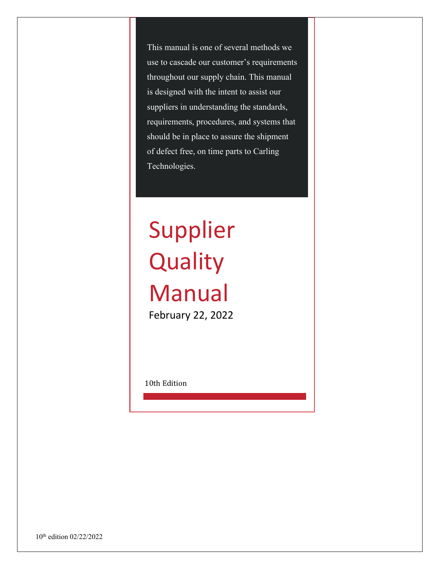This manual is one of several methods we use to cascade our customer's requirements throughout our supply chain. This manual is designed with the intent to assist our suppliers in understanding the standards, requirements, procedures, and systems that should be in place to assure the shipment of defect free, on time parts to Carling Technologies.

# Supplier **Quality** Manual

February 22, 2022

10th Edition

10<sup>th</sup> edition 02/22/2022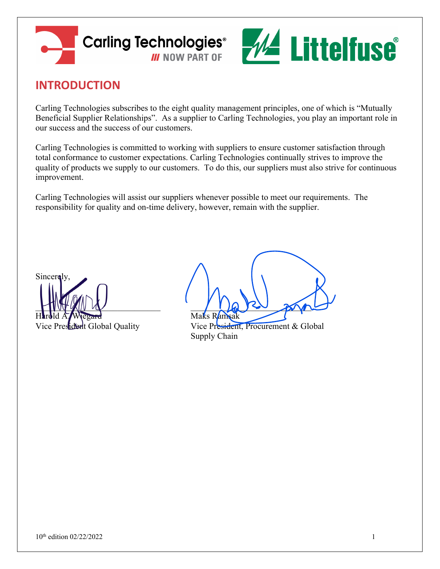



# **INTRODUCTION**

Carling Technologies subscribes to the eight quality management principles, one of which is "Mutually Beneficial Supplier Relationships". As a supplier to Carling Technologies, you play an important role in our success and the success of our customers.

Carling Technologies is committed to working with suppliers to ensure customer satisfaction through total conformance to customer expectations. Carling Technologies continually strives to improve the quality of products we supply to our customers. To do this, our suppliers must also strive for continuous improvement.

Carling Technologies will assist our suppliers whenever possible to meet our requirements. The responsibility for quality and on-time delivery, however, remain with the supplier.

Sincerely. Harold A. Wiegard Maks Ramsak

 $\Box$ 

Vice President Global Quality Vice President, Procurement & Global Supply Chain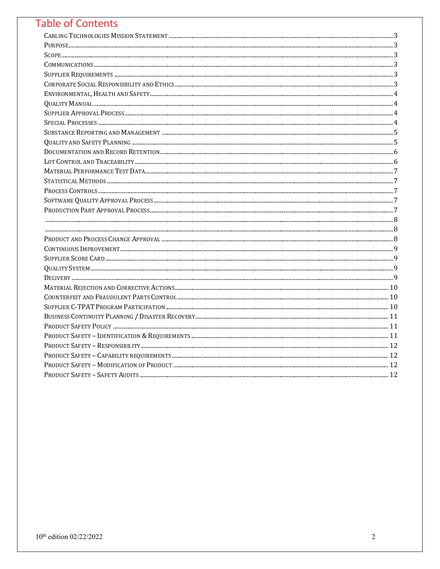# **Table of Contents**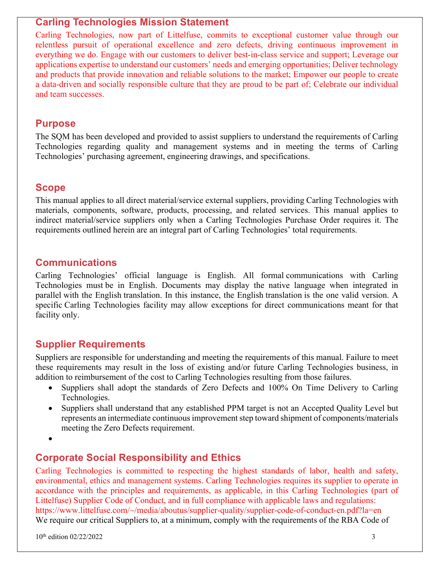#### **Carling Technologies Mission Statement**

Carling Technologies, now part of Littelfuse, commits to exceptional customer value through our relentless pursuit of operational excellence and zero defects, driving continuous improvement in everything we do. Engage with our customers to deliver best-in-class service and support; Leverage our applications expertise to understand our customers' needs and emerging opportunities; Deliver technology and products that provide innovation and reliable solutions to the market; Empower our people to create a data-driven and socially responsible culture that they are proud to be part of; Celebrate our individual and team successes.

#### **Purpose**

The SQM has been developed and provided to assist suppliers to understand the requirements of Carling Technologies regarding quality and management systems and in meeting the terms of Carling Technologies' purchasing agreement, engineering drawings, and specifications.

# **Scope**

This manual applies to all direct material/service external suppliers, providing Carling Technologies with materials, components, software, products, processing, and related services. This manual applies to indirect material/service suppliers only when a Carling Technologies Purchase Order requires it. The requirements outlined herein are an integral part of Carling Technologies' total requirements.

## **Communications**

Carling Technologies' official language is English. All formal communications with Carling Technologies must be in English. Documents may display the native language when integrated in parallel with the English translation. In this instance, the English translation is the one valid version. A specific Carling Technologies facility may allow exceptions for direct communications meant for that facility only.

#### **Supplier Requirements**

Suppliers are responsible for understanding and meeting the requirements of this manual. Failure to meet these requirements may result in the loss of existing and/or future Carling Technologies business, in addition to reimbursement of the cost to Carling Technologies resulting from those failures.

- Suppliers shall adopt the standards of Zero Defects and 100% On Time Delivery to Carling Technologies.
- Suppliers shall understand that any established PPM target is not an Accepted Quality Level but represents an intermediate continuous improvement step toward shipment of components/materials meeting the Zero Defects requirement.
- •

# **Corporate Social Responsibility and Ethics**

Carling Technologies is committed to respecting the highest standards of labor, health and safety, environmental, ethics and management systems. Carling Technologies requires its supplier to operate in accordance with the principles and requirements, as applicable, in this Carling Technologies (part of Littelfuse) Supplier Code of Conduct, and in full compliance with applicable laws and regulations: https://www.littelfuse.com/~/media/aboutus/supplier-quality/supplier-code-of-conduct-en.pdf?la=en We require our critical Suppliers to, at a minimum, comply with the requirements of the RBA Code of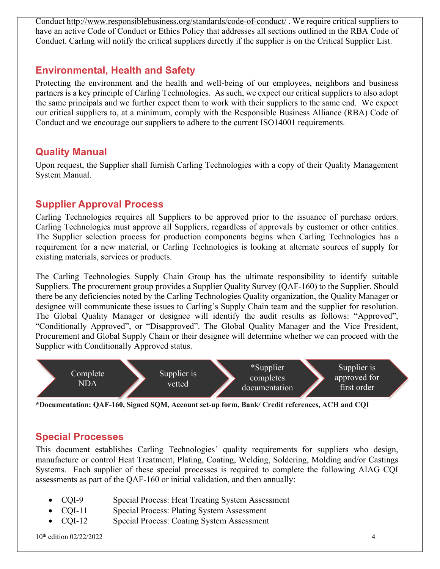Conduct http://www.responsiblebusiness.org/standards/code-of-conduct/ . We require critical suppliers to have an active Code of Conduct or Ethics Policy that addresses all sections outlined in the RBA Code of Conduct. Carling will notify the critical suppliers directly if the supplier is on the Critical Supplier List.

# **Environmental, Health and Safety**

Protecting the environment and the health and well-being of our employees, neighbors and business partners is a key principle of Carling Technologies. As such, we expect our critical suppliers to also adopt the same principals and we further expect them to work with their suppliers to the same end. We expect our critical suppliers to, at a minimum, comply with the Responsible Business Alliance (RBA) Code of Conduct and we encourage our suppliers to adhere to the current ISO14001 requirements.

#### **Quality Manual**

Upon request, the Supplier shall furnish Carling Technologies with a copy of their Quality Management System Manual.

# **Supplier Approval Process**

Carling Technologies requires all Suppliers to be approved prior to the issuance of purchase orders. Carling Technologies must approve all Suppliers, regardless of approvals by customer or other entities. The Supplier selection process for production components begins when Carling Technologies has a requirement for a new material, or Carling Technologies is looking at alternate sources of supply for existing materials, services or products.

The Carling Technologies Supply Chain Group has the ultimate responsibility to identify suitable Suppliers. The procurement group provides a Supplier Quality Survey (QAF-160) to the Supplier. Should there be any deficiencies noted by the Carling Technologies Quality organization, the Quality Manager or designee will communicate these issues to Carling's Supply Chain team and the supplier for resolution. The Global Quality Manager or designee will identify the audit results as follows: "Approved", "Conditionally Approved", or "Disapproved". The Global Quality Manager and the Vice President, Procurement and Global Supply Chain or their designee will determine whether we can proceed with the Supplier with Conditionally Approved status.



**\*Documentation: QAF-160, Signed SQM, Account set-up form, Bank/ Credit references, ACH and CQI**

# **Special Processes**

This document establishes Carling Technologies' quality requirements for suppliers who design, manufacture or control Heat Treatment, Plating, Coating, Welding, Soldering, Molding and/or Castings Systems. Each supplier of these special processes is required to complete the following AIAG CQI assessments as part of the QAF-160 or initial validation, and then annually:

- CQI-9 Special Process: Heat Treating System Assessment
- CQI-11 Special Process: Plating System Assessment
- CQI-12 Special Process: Coating System Assessment

 $10^{\text{th}}$  edition 02/22/2022 4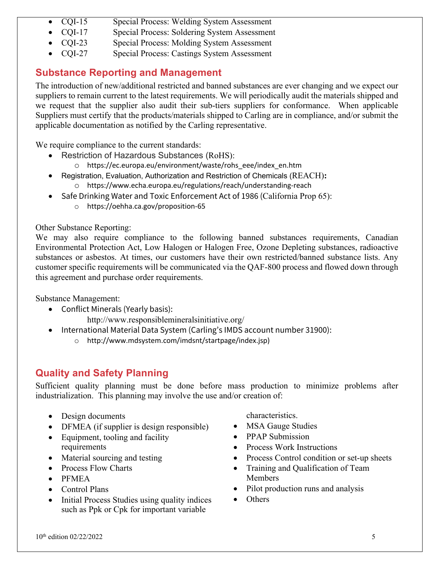- CQI-15 Special Process: Welding System Assessment
- CQI-17 Special Process: Soldering System Assessment
- CQI-23 Special Process: Molding System Assessment
- CQI-27 Special Process: Castings System Assessment

# **Substance Reporting and Management**

The introduction of new/additional restricted and banned substances are ever changing and we expect our suppliers to remain current to the latest requirements. We will periodically audit the materials shipped and we request that the supplier also audit their sub-tiers suppliers for conformance. When applicable Suppliers must certify that the products/materials shipped to Carling are in compliance, and/or submit the applicable documentation as notified by the Carling representative.

We require compliance to the current standards:

- Restriction of Hazardous Substances (RoHS):
	- o https://ec.europa.eu/environment/waste/rohs\_eee/index\_en.htm
- Registration, Evaluation, Authorization and Restriction of Chemicals (REACH)**:** o https://www.echa.europa.eu/regulations/reach/understanding-reach
- Safe Drinking Water and Toxic Enforcement Act of 1986 (California Prop 65):
	- o https://oehha.ca.gov/proposition-65

Other Substance Reporting:

We may also require compliance to the following banned substances requirements, Canadian Environmental Protection Act, Low Halogen or Halogen Free, Ozone Depleting substances, radioactive substances or asbestos. At times, our customers have their own restricted/banned substance lists. Any customer specific requirements will be communicated via the QAF-800 process and flowed down through this agreement and purchase order requirements.

Substance Management:

- Conflict Minerals (Yearly basis): http://www.responsiblemineralsinitiative.org/
	-
- International Material Data System (Carling's IMDS account number 31900): o http://www.mdsystem.com/imdsnt/startpage/index.jsp)

# **Quality and Safety Planning**

Sufficient quality planning must be done before mass production to minimize problems after industrialization. This planning may involve the use and/or creation of:

- Design documents
- DFMEA (if supplier is design responsible)
- Equipment, tooling and facility requirements
- Material sourcing and testing
- Process Flow Charts
- PFMEA
- Control Plans
- Initial Process Studies using quality indices such as Ppk or Cpk for important variable

characteristics.

- MSA Gauge Studies
- PPAP Submission
- Process Work Instructions
- Process Control condition or set-up sheets
- Training and Qualification of Team Members
- Pilot production runs and analysis
- Others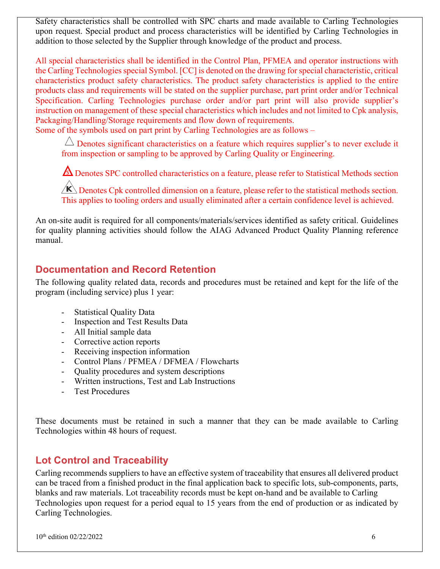Safety characteristics shall be controlled with SPC charts and made available to Carling Technologies upon request. Special product and process characteristics will be identified by Carling Technologies in addition to those selected by the Supplier through knowledge of the product and process.

All special characteristics shall be identified in the Control Plan, PFMEA and operator instructions with the Carling Technologies special Symbol. [CC] is denoted on the drawing for special characteristic, critical characteristics product safety characteristics. The product safety characteristics is applied to the entire products class and requirements will be stated on the supplier purchase, part print order and/or Technical Specification. Carling Technologies purchase order and/or part print will also provide supplier's instruction on management of these special characteristics which includes and not limited to Cpk analysis, Packaging/Handling/Storage requirements and flow down of requirements.

Some of the symbols used on part print by Carling Technologies are as follows –

 $\triangle$  Denotes significant characteristics on a feature which requires supplier's to never exclude it from inspection or sampling to be approved by Carling Quality or Engineering.

**A** Denotes SPC controlled characteristics on a feature, please refer to Statistical Methods section

 $\angle K$  Denotes Cpk controlled dimension on a feature, please refer to the statistical methods section. This applies to tooling orders and usually eliminated after a certain confidence level is achieved.

An on-site audit is required for all components/materials/services identified as safety critical. Guidelines for quality planning activities should follow the AIAG Advanced Product Quality Planning reference manual.

# **Documentation and Record Retention**

The following quality related data, records and procedures must be retained and kept for the life of the program (including service) plus 1 year:

- Statistical Quality Data
- Inspection and Test Results Data
- All Initial sample data
- Corrective action reports
- Receiving inspection information
- Control Plans / PFMEA / DFMEA / Flowcharts
- Quality procedures and system descriptions
- Written instructions, Test and Lab Instructions
- Test Procedures

These documents must be retained in such a manner that they can be made available to Carling Technologies within 48 hours of request.

#### **Lot Control and Traceability**

Carling recommends suppliers to have an effective system of traceability that ensures all delivered product can be traced from a finished product in the final application back to specific lots, sub-components, parts, blanks and raw materials. Lot traceability records must be kept on-hand and be available to Carling Technologies upon request for a period equal to 15 years from the end of production or as indicated by Carling Technologies.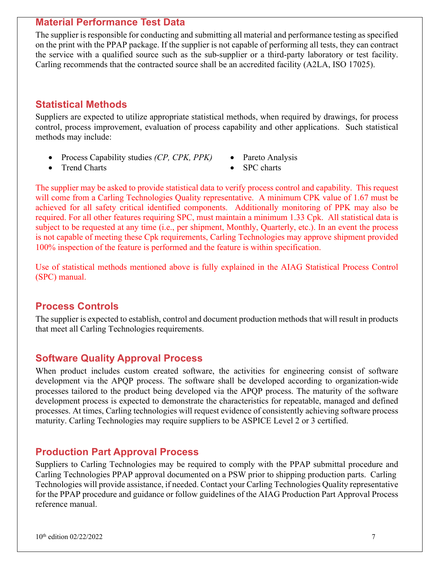#### **Material Performance Test Data**

The supplier is responsible for conducting and submitting all material and performance testing as specified on the print with the PPAP package. If the supplier is not capable of performing all tests, they can contract the service with a qualified source such as the sub-supplier or a third-party laboratory or test facility. Carling recommends that the contracted source shall be an accredited facility (A2LA, ISO 17025).

## **Statistical Methods**

Suppliers are expected to utilize appropriate statistical methods, when required by drawings, for process control, process improvement, evaluation of process capability and other applications. Such statistical methods may include:

- Process Capability studies *(CP, CPK, PPK)*
	- Pareto Analysis

• Trend Charts

• SPC charts

The supplier may be asked to provide statistical data to verify process control and capability. This request will come from a Carling Technologies Quality representative. A minimum CPK value of 1.67 must be achieved for all safety critical identified components. Additionally monitoring of PPK may also be required. For all other features requiring SPC, must maintain a minimum 1.33 Cpk. All statistical data is subject to be requested at any time (i.e., per shipment, Monthly, Quarterly, etc.). In an event the process is not capable of meeting these Cpk requirements, Carling Technologies may approve shipment provided 100% inspection of the feature is performed and the feature is within specification.

Use of statistical methods mentioned above is fully explained in the AIAG Statistical Process Control (SPC) manual.

#### **Process Controls**

The supplier is expected to establish, control and document production methods that will result in products that meet all Carling Technologies requirements.

#### **Software Quality Approval Process**

When product includes custom created software, the activities for engineering consist of software development via the APQP process. The software shall be developed according to organization-wide processes tailored to the product being developed via the APQP process. The maturity of the software development process is expected to demonstrate the characteristics for repeatable, managed and defined processes. At times, Carling technologies will request evidence of consistently achieving software process maturity. Carling Technologies may require suppliers to be ASPICE Level 2 or 3 certified.

#### **Production Part Approval Process**

Suppliers to Carling Technologies may be required to comply with the PPAP submittal procedure and Carling Technologies PPAP approval documented on a PSW prior to shipping production parts. Carling Technologies will provide assistance, if needed. Contact your Carling Technologies Quality representative for the PPAP procedure and guidance or follow guidelines of the AIAG Production Part Approval Process reference manual.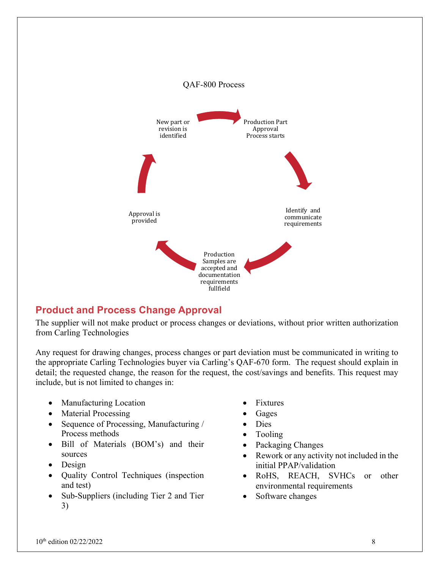

# **Product and Process Change Approval**

The supplier will not make product or process changes or deviations, without prior written authorization from Carling Technologies

Any request for drawing changes, process changes or part deviation must be communicated in writing to the appropriate Carling Technologies buyer via Carling's QAF-670 form. The request should explain in detail; the requested change, the reason for the request, the cost/savings and benefits. This request may include, but is not limited to changes in:

- Manufacturing Location
- Material Processing
- Sequence of Processing, Manufacturing / Process methods
- Bill of Materials (BOM's) and their sources
- Design
- Quality Control Techniques (inspection and test)
- Sub-Suppliers (including Tier 2 and Tier 3)
- **Fixtures**
- Gages
- Dies
- Tooling
- Packaging Changes
- Rework or any activity not included in the initial PPAP/validation
- RoHS, REACH, SVHCs or other environmental requirements
- Software changes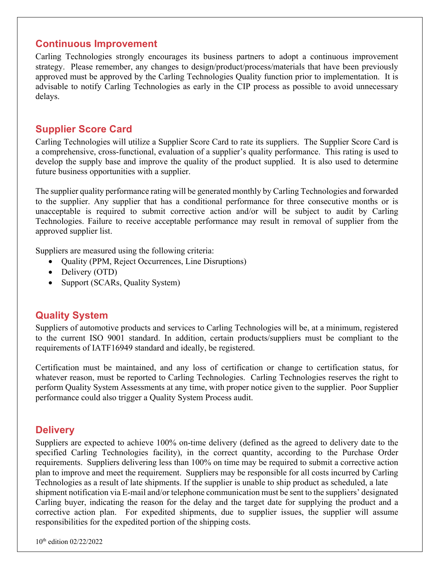#### **Continuous Improvement**

Carling Technologies strongly encourages its business partners to adopt a continuous improvement strategy. Please remember, any changes to design/product/process/materials that have been previously approved must be approved by the Carling Technologies Quality function prior to implementation. It is advisable to notify Carling Technologies as early in the CIP process as possible to avoid unnecessary delays.

#### **Supplier Score Card**

Carling Technologies will utilize a Supplier Score Card to rate its suppliers. The Supplier Score Card is a comprehensive, cross-functional, evaluation of a supplier's quality performance. This rating is used to develop the supply base and improve the quality of the product supplied. It is also used to determine future business opportunities with a supplier.

The supplier quality performance rating will be generated monthly by Carling Technologies and forwarded to the supplier. Any supplier that has a conditional performance for three consecutive months or is unacceptable is required to submit corrective action and/or will be subject to audit by Carling Technologies. Failure to receive acceptable performance may result in removal of supplier from the approved supplier list.

Suppliers are measured using the following criteria:

- Quality (PPM, Reject Occurrences, Line Disruptions)
- Delivery (OTD)
- Support (SCARs, Quality System)

#### **Quality System**

Suppliers of automotive products and services to Carling Technologies will be, at a minimum, registered to the current ISO 9001 standard. In addition, certain products/suppliers must be compliant to the requirements of IATF16949 standard and ideally, be registered.

Certification must be maintained, and any loss of certification or change to certification status, for whatever reason, must be reported to Carling Technologies. Carling Technologies reserves the right to perform Quality System Assessments at any time, with proper notice given to the supplier. Poor Supplier performance could also trigger a Quality System Process audit.

#### **Delivery**

Suppliers are expected to achieve 100% on-time delivery (defined as the agreed to delivery date to the specified Carling Technologies facility), in the correct quantity, according to the Purchase Order requirements. Suppliers delivering less than 100% on time may be required to submit a corrective action plan to improve and meet the requirement. Suppliers may be responsible for all costs incurred by Carling Technologies as a result of late shipments. If the supplier is unable to ship product as scheduled, a late shipment notification via E-mail and/or telephone communication must be sent to the suppliers' designated Carling buyer, indicating the reason for the delay and the target date for supplying the product and a corrective action plan. For expedited shipments, due to supplier issues, the supplier will assume responsibilities for the expedited portion of the shipping costs.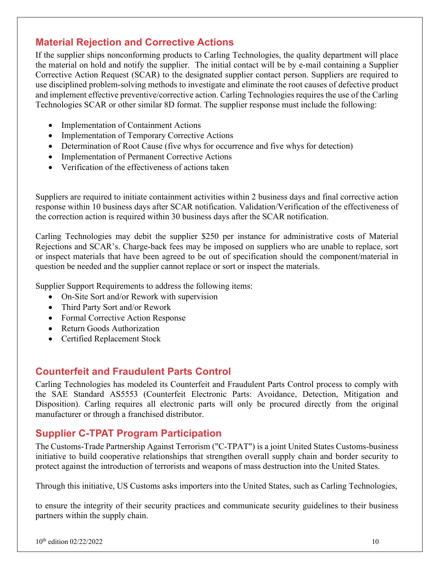# **Material Rejection and Corrective Actions**

If the supplier ships nonconforming products to Carling Technologies, the quality department will place the material on hold and notify the supplier. The initial contact will be by e-mail containing a Supplier Corrective Action Request (SCAR) to the designated supplier contact person. Suppliers are required to use disciplined problem-solving methods to investigate and eliminate the root causes of defective product and implement effective preventive/corrective action. Carling Technologies requires the use of the Carling Technologies SCAR or other similar 8D format. The supplier response must include the following:

- Implementation of Containment Actions
- Implementation of Temporary Corrective Actions
- Determination of Root Cause (five whys for occurrence and five whys for detection)
- Implementation of Permanent Corrective Actions
- Verification of the effectiveness of actions taken

Suppliers are required to initiate containment activities within 2 business days and final corrective action response within 10 business days after SCAR notification. Validation/Verification of the effectiveness of the correction action is required within 30 business days after the SCAR notification.

Carling Technologies may debit the supplier \$250 per instance for administrative costs of Material Rejections and SCAR's. Charge-back fees may be imposed on suppliers who are unable to replace, sort or inspect materials that have been agreed to be out of specification should the component/material in question be needed and the supplier cannot replace or sort or inspect the materials.

Supplier Support Requirements to address the following items:

- On-Site Sort and/or Rework with supervision
- Third Party Sort and/or Rework
- Formal Corrective Action Response
- Return Goods Authorization
- Certified Replacement Stock

#### **Counterfeit and Fraudulent Parts Control**

Carling Technologies has modeled its Counterfeit and Fraudulent Parts Control process to comply with the SAE Standard AS5553 (Counterfeit Electronic Parts: Avoidance, Detection, Mitigation and Disposition). Carling requires all electronic parts will only be procured directly from the original manufacturer or through a franchised distributor.

# **Supplier C-TPAT Program Participation**

The Customs-Trade Partnership Against Terrorism ("C-TPAT") is a joint United States Customs-business initiative to build cooperative relationships that strengthen overall supply chain and border security to protect against the introduction of terrorists and weapons of mass destruction into the United States.

Through this initiative, US Customs asks importers into the United States, such as Carling Technologies,

to ensure the integrity of their security practices and communicate security guidelines to their business partners within the supply chain.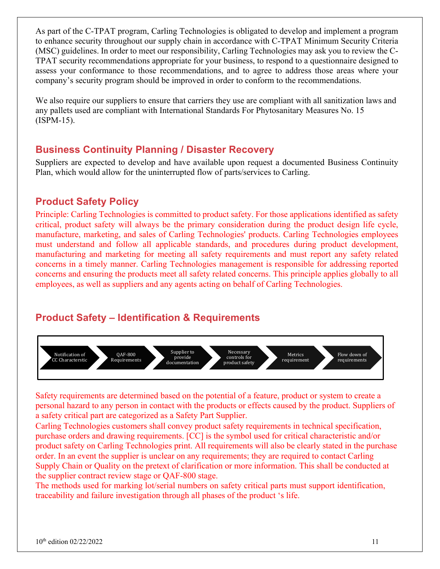As part of the C-TPAT program, Carling Technologies is obligated to develop and implement a program to enhance security throughout our supply chain in accordance with C-TPAT Minimum Security Criteria (MSC) guidelines. In order to meet our responsibility, Carling Technologies may ask you to review the C-TPAT security recommendations appropriate for your business, to respond to a questionnaire designed to assess your conformance to those recommendations, and to agree to address those areas where your company's security program should be improved in order to conform to the recommendations.

We also require our suppliers to ensure that carriers they use are compliant with all sanitization laws and any pallets used are compliant with International Standards For Phytosanitary Measures No. 15 (ISPM-15).

## **Business Continuity Planning / Disaster Recovery**

Suppliers are expected to develop and have available upon request a documented Business Continuity Plan, which would allow for the uninterrupted flow of parts/services to Carling.

#### **Product Safety Policy**

Principle: Carling Technologies is committed to product safety. For those applications identified as safety critical, product safety will always be the primary consideration during the product design life cycle, manufacture, marketing, and sales of Carling Technologies' products. Carling Technologies employees must understand and follow all applicable standards, and procedures during product development, manufacturing and marketing for meeting all safety requirements and must report any safety related concerns in a timely manner. Carling Technologies management is responsible for addressing reported concerns and ensuring the products meet all safety related concerns. This principle applies globally to all employees, as well as suppliers and any agents acting on behalf of Carling Technologies.

#### **Product Safety – Identification & Requirements**



Safety requirements are determined based on the potential of a feature, product or system to create a personal hazard to any person in contact with the products or effects caused by the product. Suppliers of a safety critical part are categorized as a Safety Part Supplier.

Carling Technologies customers shall convey product safety requirements in technical specification, purchase orders and drawing requirements. [CC] is the symbol used for critical characteristic and/or product safety on Carling Technologies print. All requirements will also be clearly stated in the purchase order. In an event the supplier is unclear on any requirements; they are required to contact Carling Supply Chain or Quality on the pretext of clarification or more information. This shall be conducted at the supplier contract review stage or QAF-800 stage.

The methods used for marking lot/serial numbers on safety critical parts must support identification, traceability and failure investigation through all phases of the product 's life.